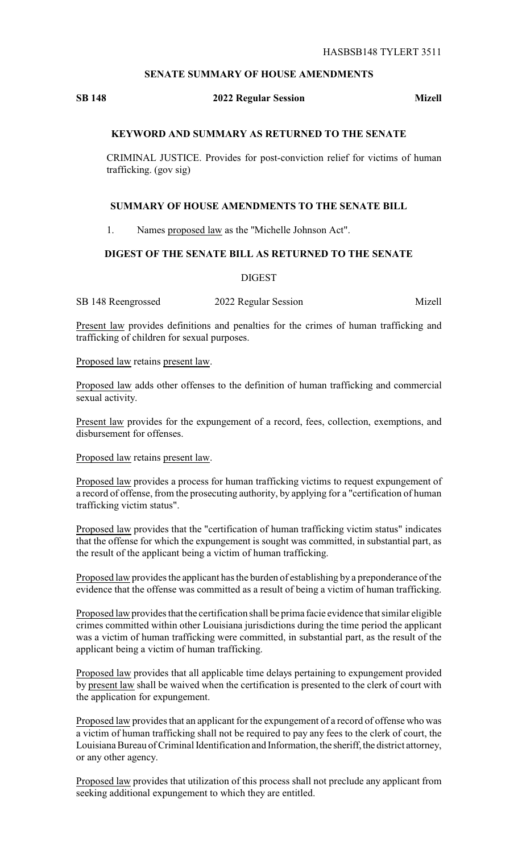## **SENATE SUMMARY OF HOUSE AMENDMENTS**

# **SB 148 2022 Regular Session Mizell**

## **KEYWORD AND SUMMARY AS RETURNED TO THE SENATE**

CRIMINAL JUSTICE. Provides for post-conviction relief for victims of human trafficking. (gov sig)

#### **SUMMARY OF HOUSE AMENDMENTS TO THE SENATE BILL**

1. Names proposed law as the "Michelle Johnson Act".

#### **DIGEST OF THE SENATE BILL AS RETURNED TO THE SENATE**

DIGEST

SB 148 Reengrossed 2022 Regular Session Mizell

Present law provides definitions and penalties for the crimes of human trafficking and trafficking of children for sexual purposes.

Proposed law retains present law.

Proposed law adds other offenses to the definition of human trafficking and commercial sexual activity.

Present law provides for the expungement of a record, fees, collection, exemptions, and disbursement for offenses.

Proposed law retains present law.

Proposed law provides a process for human trafficking victims to request expungement of a record of offense, from the prosecuting authority, by applying for a "certification of human trafficking victim status".

Proposed law provides that the "certification of human trafficking victim status" indicates that the offense for which the expungement is sought was committed, in substantial part, as the result of the applicant being a victim of human trafficking.

Proposed law provides the applicant has the burden of establishing by a preponderance of the evidence that the offense was committed as a result of being a victim of human trafficking.

Proposed law provides that the certification shall be prima facie evidence that similar eligible crimes committed within other Louisiana jurisdictions during the time period the applicant was a victim of human trafficking were committed, in substantial part, as the result of the applicant being a victim of human trafficking.

Proposed law provides that all applicable time delays pertaining to expungement provided by present law shall be waived when the certification is presented to the clerk of court with the application for expungement.

Proposed law provides that an applicant for the expungement of a record of offense who was a victim of human trafficking shall not be required to pay any fees to the clerk of court, the Louisiana Bureau of Criminal Identification and Information, the sheriff, the district attorney, or any other agency.

Proposed law provides that utilization of this process shall not preclude any applicant from seeking additional expungement to which they are entitled.